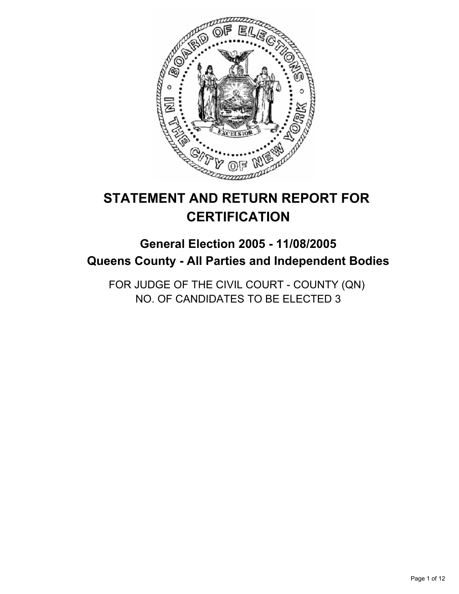

# **STATEMENT AND RETURN REPORT FOR CERTIFICATION**

# **General Election 2005 - 11/08/2005 Queens County - All Parties and Independent Bodies**

FOR JUDGE OF THE CIVIL COURT - COUNTY (QN) NO. OF CANDIDATES TO BE ELECTED 3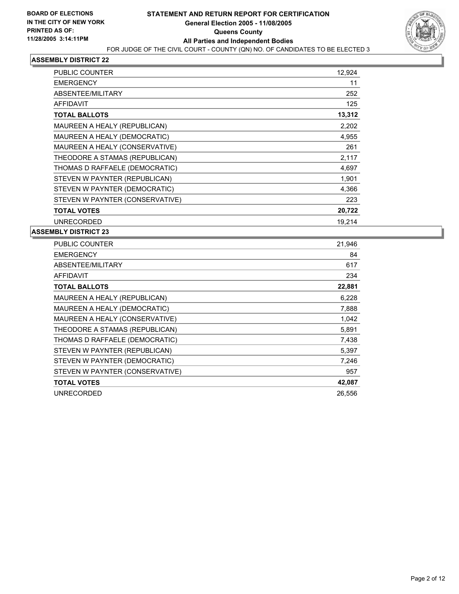

| PUBLIC COUNTER                  | 12,924 |
|---------------------------------|--------|
| <b>EMERGENCY</b>                | 11     |
| ABSENTEE/MILITARY               | 252    |
| <b>AFFIDAVIT</b>                | 125    |
| <b>TOTAL BALLOTS</b>            | 13,312 |
| MAUREEN A HEALY (REPUBLICAN)    | 2,202  |
| MAUREEN A HEALY (DEMOCRATIC)    | 4,955  |
| MAUREEN A HEALY (CONSERVATIVE)  | 261    |
| THEODORE A STAMAS (REPUBLICAN)  | 2,117  |
| THOMAS D RAFFAELE (DEMOCRATIC)  | 4,697  |
| STEVEN W PAYNTER (REPUBLICAN)   | 1,901  |
| STEVEN W PAYNTER (DEMOCRATIC)   | 4,366  |
| STEVEN W PAYNTER (CONSERVATIVE) | 223    |
| <b>TOTAL VOTES</b>              | 20,722 |
| <b>UNRECORDED</b>               | 19.214 |

| PUBLIC COUNTER                  | 21,946 |
|---------------------------------|--------|
| <b>EMERGENCY</b>                | 84     |
| ABSENTEE/MILITARY               | 617    |
| <b>AFFIDAVIT</b>                | 234    |
| <b>TOTAL BALLOTS</b>            | 22,881 |
| MAUREEN A HEALY (REPUBLICAN)    | 6,228  |
| MAUREEN A HEALY (DEMOCRATIC)    | 7,888  |
| MAUREEN A HEALY (CONSERVATIVE)  | 1,042  |
| THEODORE A STAMAS (REPUBLICAN)  | 5,891  |
| THOMAS D RAFFAELE (DEMOCRATIC)  | 7,438  |
| STEVEN W PAYNTER (REPUBLICAN)   | 5,397  |
| STEVEN W PAYNTER (DEMOCRATIC)   | 7,246  |
| STEVEN W PAYNTER (CONSERVATIVE) | 957    |
| <b>TOTAL VOTES</b>              | 42,087 |
| <b>UNRECORDED</b>               | 26,556 |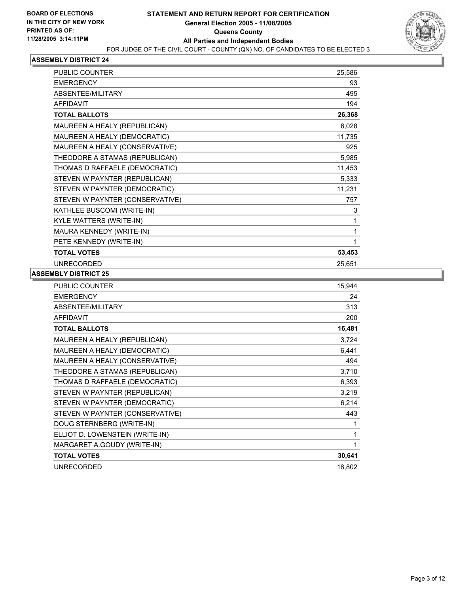

| <b>PUBLIC COUNTER</b><br>25,586          |     |
|------------------------------------------|-----|
| <b>EMERGENCY</b>                         | 93  |
| ABSENTEE/MILITARY                        | 495 |
| <b>AFFIDAVIT</b>                         | 194 |
| 26,368<br><b>TOTAL BALLOTS</b>           |     |
| MAUREEN A HEALY (REPUBLICAN)<br>6,028    |     |
| MAUREEN A HEALY (DEMOCRATIC)<br>11,735   |     |
| MAUREEN A HEALY (CONSERVATIVE)           | 925 |
| THEODORE A STAMAS (REPUBLICAN)<br>5,985  |     |
| THOMAS D RAFFAELE (DEMOCRATIC)<br>11,453 |     |
| STEVEN W PAYNTER (REPUBLICAN)<br>5,333   |     |
| 11,231<br>STEVEN W PAYNTER (DEMOCRATIC)  |     |
| STEVEN W PAYNTER (CONSERVATIVE)          | 757 |
| KATHLEE BUSCOMI (WRITE-IN)               | 3   |
| KYLE WATTERS (WRITE-IN)                  |     |
| MAURA KENNEDY (WRITE-IN)                 |     |
| PETE KENNEDY (WRITE-IN)                  |     |
| 53,453<br><b>TOTAL VOTES</b>             |     |
| <b>UNRECORDED</b><br>25,651              |     |

| PUBLIC COUNTER                  | 15,944 |
|---------------------------------|--------|
| <b>EMERGENCY</b>                | 24     |
| ABSENTEE/MILITARY               | 313    |
| <b>AFFIDAVIT</b>                | 200    |
| <b>TOTAL BALLOTS</b>            | 16,481 |
| MAUREEN A HEALY (REPUBLICAN)    | 3,724  |
| MAUREEN A HEALY (DEMOCRATIC)    | 6,441  |
| MAUREEN A HEALY (CONSERVATIVE)  | 494    |
| THEODORE A STAMAS (REPUBLICAN)  | 3,710  |
| THOMAS D RAFFAELE (DEMOCRATIC)  | 6,393  |
| STEVEN W PAYNTER (REPUBLICAN)   | 3,219  |
| STEVEN W PAYNTER (DEMOCRATIC)   | 6,214  |
| STEVEN W PAYNTER (CONSERVATIVE) | 443    |
| DOUG STERNBERG (WRITE-IN)       |        |
| ELLIOT D. LOWENSTEIN (WRITE-IN) | 1      |
| MARGARET A.GOUDY (WRITE-IN)     | 1      |
| <b>TOTAL VOTES</b>              | 30,641 |
| <b>UNRECORDED</b>               | 18,802 |
|                                 |        |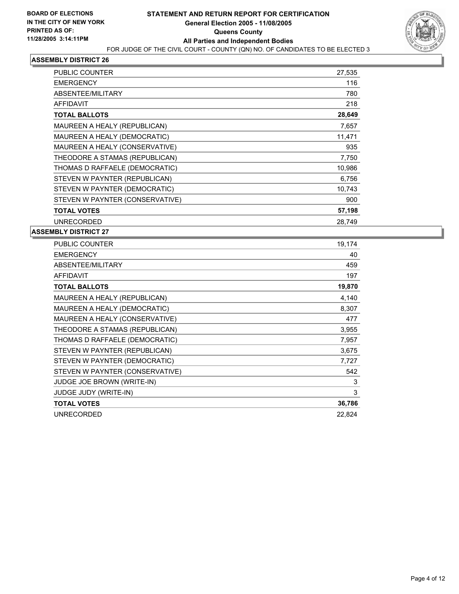

| PUBLIC COUNTER                  | 27,535 |
|---------------------------------|--------|
| <b>EMERGENCY</b>                | 116    |
| ABSENTEE/MILITARY               | 780    |
| AFFIDAVIT                       | 218    |
| <b>TOTAL BALLOTS</b>            | 28,649 |
| MAUREEN A HEALY (REPUBLICAN)    | 7,657  |
| MAUREEN A HEALY (DEMOCRATIC)    | 11,471 |
| MAUREEN A HEALY (CONSERVATIVE)  | 935    |
| THEODORE A STAMAS (REPUBLICAN)  | 7,750  |
| THOMAS D RAFFAELE (DEMOCRATIC)  | 10,986 |
| STEVEN W PAYNTER (REPUBLICAN)   | 6,756  |
| STEVEN W PAYNTER (DEMOCRATIC)   | 10,743 |
| STEVEN W PAYNTER (CONSERVATIVE) | 900    |
| <b>TOTAL VOTES</b>              | 57,198 |
| <b>UNRECORDED</b>               | 28,749 |

| PUBLIC COUNTER                    | 19,174 |
|-----------------------------------|--------|
| <b>EMERGENCY</b>                  | 40     |
| ABSENTEE/MILITARY                 | 459    |
| <b>AFFIDAVIT</b>                  | 197    |
| <b>TOTAL BALLOTS</b>              | 19,870 |
| MAUREEN A HEALY (REPUBLICAN)      | 4,140  |
| MAUREEN A HEALY (DEMOCRATIC)      | 8,307  |
| MAUREEN A HEALY (CONSERVATIVE)    | 477    |
| THEODORE A STAMAS (REPUBLICAN)    | 3,955  |
| THOMAS D RAFFAELE (DEMOCRATIC)    | 7,957  |
| STEVEN W PAYNTER (REPUBLICAN)     | 3,675  |
| STEVEN W PAYNTER (DEMOCRATIC)     | 7,727  |
| STEVEN W PAYNTER (CONSERVATIVE)   | 542    |
| <b>JUDGE JOE BROWN (WRITE-IN)</b> | 3      |
| <b>JUDGE JUDY (WRITE-IN)</b>      | 3      |
| <b>TOTAL VOTES</b>                | 36,786 |
| <b>UNRECORDED</b>                 | 22,824 |
|                                   |        |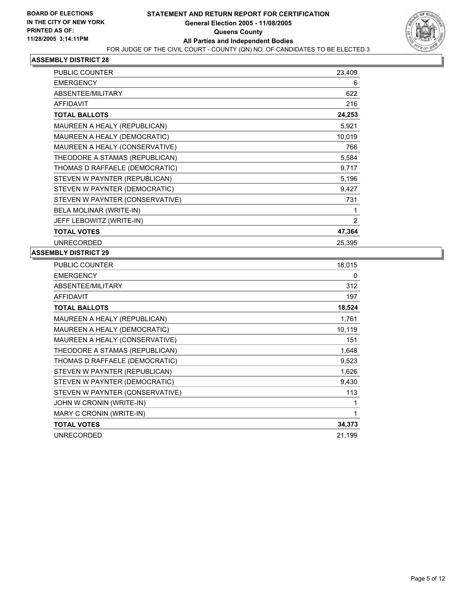

| PUBLIC COUNTER                  | 23,409 |
|---------------------------------|--------|
| <b>EMERGENCY</b>                | 6      |
| ABSENTEE/MILITARY               | 622    |
| <b>AFFIDAVIT</b>                | 216    |
| <b>TOTAL BALLOTS</b>            | 24,253 |
| MAUREEN A HEALY (REPUBLICAN)    | 5,921  |
| MAUREEN A HEALY (DEMOCRATIC)    | 10,019 |
| MAUREEN A HEALY (CONSERVATIVE)  | 766    |
| THEODORE A STAMAS (REPUBLICAN)  | 5,584  |
| THOMAS D RAFFAELE (DEMOCRATIC)  | 9,717  |
| STEVEN W PAYNTER (REPUBLICAN)   | 5,196  |
| STEVEN W PAYNTER (DEMOCRATIC)   | 9,427  |
| STEVEN W PAYNTER (CONSERVATIVE) | 731    |
| BELA MOLINAR (WRITE-IN)         |        |
| JEFF LEBOWITZ (WRITE-IN)        | 2      |
| <b>TOTAL VOTES</b>              | 47,364 |
| <b>UNRECORDED</b>               | 25,395 |

| PUBLIC COUNTER                  | 18,015 |
|---------------------------------|--------|
| <b>EMERGENCY</b>                | 0      |
| ABSENTEE/MILITARY               | 312    |
| <b>AFFIDAVIT</b>                | 197    |
| <b>TOTAL BALLOTS</b>            | 18,524 |
| MAUREEN A HEALY (REPUBLICAN)    | 1,761  |
| MAUREEN A HEALY (DEMOCRATIC)    | 10,119 |
| MAUREEN A HEALY (CONSERVATIVE)  | 151    |
| THEODORE A STAMAS (REPUBLICAN)  | 1,648  |
| THOMAS D RAFFAELE (DEMOCRATIC)  | 9,523  |
| STEVEN W PAYNTER (REPUBLICAN)   | 1,626  |
| STEVEN W PAYNTER (DEMOCRATIC)   | 9,430  |
| STEVEN W PAYNTER (CONSERVATIVE) | 113    |
| JOHN W CRONIN (WRITE-IN)        |        |
| MARY C CRONIN (WRITE-IN)        |        |
| <b>TOTAL VOTES</b>              | 34,373 |
| <b>UNRECORDED</b>               | 21,199 |
|                                 |        |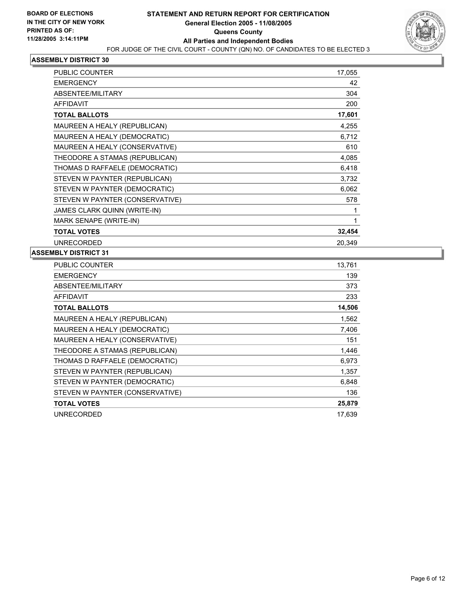

| <b>PUBLIC COUNTER</b>           | 17,055 |
|---------------------------------|--------|
| <b>EMERGENCY</b>                | 42     |
| ABSENTEE/MILITARY               | 304    |
| <b>AFFIDAVIT</b>                | 200    |
| <b>TOTAL BALLOTS</b>            | 17,601 |
| MAUREEN A HEALY (REPUBLICAN)    | 4,255  |
| MAUREEN A HEALY (DEMOCRATIC)    | 6,712  |
| MAUREEN A HEALY (CONSERVATIVE)  | 610    |
| THEODORE A STAMAS (REPUBLICAN)  | 4,085  |
| THOMAS D RAFFAELE (DEMOCRATIC)  | 6,418  |
| STEVEN W PAYNTER (REPUBLICAN)   | 3,732  |
| STEVEN W PAYNTER (DEMOCRATIC)   | 6,062  |
| STEVEN W PAYNTER (CONSERVATIVE) | 578    |
| JAMES CLARK QUINN (WRITE-IN)    |        |
| MARK SENAPE (WRITE-IN)          |        |
| <b>TOTAL VOTES</b>              | 32,454 |
| <b>UNRECORDED</b>               | 20.349 |

| PUBLIC COUNTER                  | 13,761 |
|---------------------------------|--------|
| <b>EMERGENCY</b>                | 139    |
| ABSENTEE/MILITARY               | 373    |
| <b>AFFIDAVIT</b>                | 233    |
| <b>TOTAL BALLOTS</b>            | 14,506 |
| MAUREEN A HEALY (REPUBLICAN)    | 1,562  |
| MAUREEN A HEALY (DEMOCRATIC)    | 7,406  |
| MAUREEN A HEALY (CONSERVATIVE)  | 151    |
| THEODORE A STAMAS (REPUBLICAN)  | 1,446  |
| THOMAS D RAFFAELE (DEMOCRATIC)  | 6,973  |
| STEVEN W PAYNTER (REPUBLICAN)   | 1,357  |
| STEVEN W PAYNTER (DEMOCRATIC)   | 6,848  |
| STEVEN W PAYNTER (CONSERVATIVE) | 136    |
| <b>TOTAL VOTES</b>              | 25,879 |
| <b>UNRECORDED</b>               | 17,639 |
|                                 |        |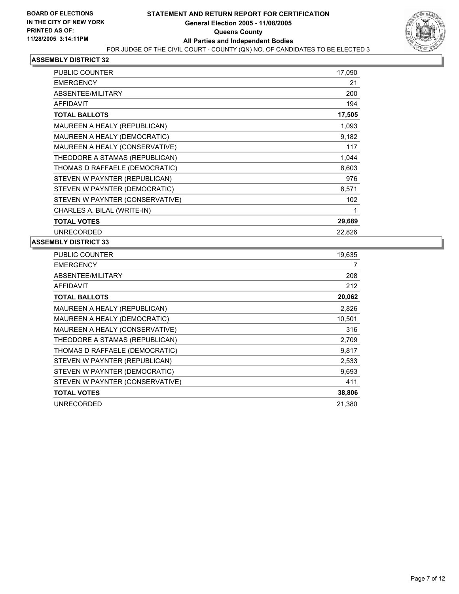

| PUBLIC COUNTER                  | 17,090 |
|---------------------------------|--------|
| <b>EMERGENCY</b>                | 21     |
| ABSENTEE/MILITARY               | 200    |
| <b>AFFIDAVIT</b>                | 194    |
| <b>TOTAL BALLOTS</b>            | 17,505 |
| MAUREEN A HEALY (REPUBLICAN)    | 1,093  |
| MAUREEN A HEALY (DEMOCRATIC)    | 9,182  |
| MAUREEN A HEALY (CONSERVATIVE)  | 117    |
| THEODORE A STAMAS (REPUBLICAN)  | 1,044  |
| THOMAS D RAFFAELE (DEMOCRATIC)  | 8,603  |
| STEVEN W PAYNTER (REPUBLICAN)   | 976    |
| STEVEN W PAYNTER (DEMOCRATIC)   | 8,571  |
| STEVEN W PAYNTER (CONSERVATIVE) | 102    |
| CHARLES A. BILAL (WRITE-IN)     |        |
| <b>TOTAL VOTES</b>              | 29,689 |
| <b>UNRECORDED</b>               | 22,826 |

| PUBLIC COUNTER                  | 19,635 |
|---------------------------------|--------|
| <b>EMERGENCY</b>                |        |
| ABSENTEE/MILITARY               | 208    |
| <b>AFFIDAVIT</b>                | 212    |
| <b>TOTAL BALLOTS</b>            | 20,062 |
| MAUREEN A HEALY (REPUBLICAN)    | 2,826  |
| MAUREEN A HEALY (DEMOCRATIC)    | 10,501 |
| MAUREEN A HEALY (CONSERVATIVE)  | 316    |
| THEODORE A STAMAS (REPUBLICAN)  | 2,709  |
| THOMAS D RAFFAELE (DEMOCRATIC)  | 9,817  |
| STEVEN W PAYNTER (REPUBLICAN)   | 2,533  |
| STEVEN W PAYNTER (DEMOCRATIC)   | 9,693  |
| STEVEN W PAYNTER (CONSERVATIVE) | 411    |
| <b>TOTAL VOTES</b>              | 38,806 |
| <b>UNRECORDED</b>               | 21,380 |
|                                 |        |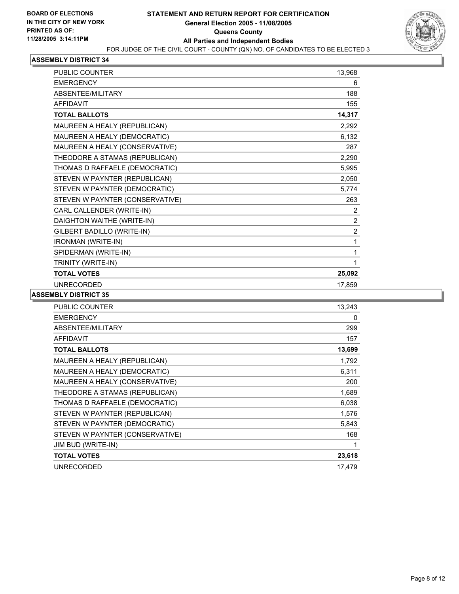

| <b>PUBLIC COUNTER</b>           | 13,968         |  |
|---------------------------------|----------------|--|
| <b>EMERGENCY</b>                | 6              |  |
| ABSENTEE/MILITARY               | 188            |  |
| <b>AFFIDAVIT</b>                | 155            |  |
| <b>TOTAL BALLOTS</b>            | 14,317         |  |
| MAUREEN A HEALY (REPUBLICAN)    | 2,292          |  |
| MAUREEN A HEALY (DEMOCRATIC)    | 6,132          |  |
| MAUREEN A HEALY (CONSERVATIVE)  | 287            |  |
| THEODORE A STAMAS (REPUBLICAN)  | 2,290          |  |
| THOMAS D RAFFAELE (DEMOCRATIC)  | 5,995          |  |
| STEVEN W PAYNTER (REPUBLICAN)   | 2,050          |  |
| STEVEN W PAYNTER (DEMOCRATIC)   | 5,774          |  |
| STEVEN W PAYNTER (CONSERVATIVE) | 263            |  |
| CARL CALLENDER (WRITE-IN)       | 2              |  |
| DAIGHTON WAITHE (WRITE-IN)      | $\overline{c}$ |  |
| GILBERT BADILLO (WRITE-IN)      | $\overline{2}$ |  |
| <b>IRONMAN (WRITE-IN)</b>       | 1              |  |
| SPIDERMAN (WRITE-IN)            | 1              |  |
| TRINITY (WRITE-IN)              |                |  |
| <b>TOTAL VOTES</b>              | 25,092         |  |
| <b>UNRECORDED</b>               | 17,859         |  |

| PUBLIC COUNTER                  | 13,243 |
|---------------------------------|--------|
| <b>EMERGENCY</b>                | 0      |
| ABSENTEE/MILITARY               | 299    |
| <b>AFFIDAVIT</b>                | 157    |
| <b>TOTAL BALLOTS</b>            | 13,699 |
| MAUREEN A HEALY (REPUBLICAN)    | 1,792  |
| MAUREEN A HEALY (DEMOCRATIC)    | 6,311  |
| MAUREEN A HEALY (CONSERVATIVE)  | 200    |
| THEODORE A STAMAS (REPUBLICAN)  | 1,689  |
| THOMAS D RAFFAELE (DEMOCRATIC)  | 6,038  |
| STEVEN W PAYNTER (REPUBLICAN)   | 1,576  |
| STEVEN W PAYNTER (DEMOCRATIC)   | 5,843  |
| STEVEN W PAYNTER (CONSERVATIVE) | 168    |
| JIM BUD (WRITE-IN)              |        |
| <b>TOTAL VOTES</b>              | 23,618 |
| <b>UNRECORDED</b>               | 17,479 |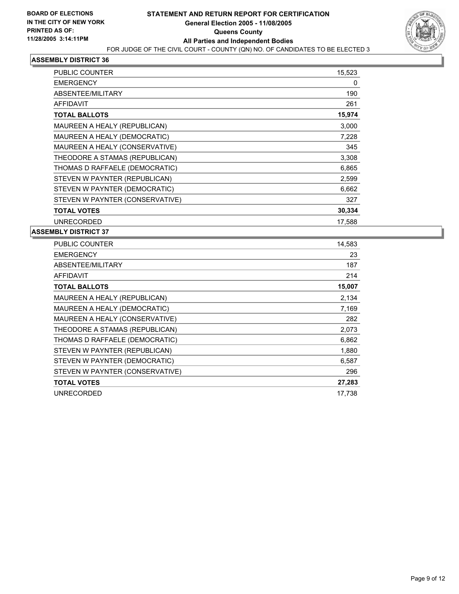

| PUBLIC COUNTER                  | 15,523 |
|---------------------------------|--------|
| <b>EMERGENCY</b>                | 0      |
| ABSENTEE/MILITARY               | 190    |
| <b>AFFIDAVIT</b>                | 261    |
| <b>TOTAL BALLOTS</b>            | 15,974 |
| MAUREEN A HEALY (REPUBLICAN)    | 3,000  |
| MAUREEN A HEALY (DEMOCRATIC)    | 7,228  |
| MAUREEN A HEALY (CONSERVATIVE)  | 345    |
| THEODORE A STAMAS (REPUBLICAN)  | 3,308  |
| THOMAS D RAFFAELE (DEMOCRATIC)  | 6,865  |
| STEVEN W PAYNTER (REPUBLICAN)   | 2,599  |
| STEVEN W PAYNTER (DEMOCRATIC)   | 6,662  |
| STEVEN W PAYNTER (CONSERVATIVE) | 327    |
| <b>TOTAL VOTES</b>              | 30,334 |
| <b>UNRECORDED</b>               | 17,588 |

| PUBLIC COUNTER                  | 14,583 |
|---------------------------------|--------|
| <b>EMERGENCY</b>                | 23     |
| <b>ABSENTEE/MILITARY</b>        | 187    |
| <b>AFFIDAVIT</b>                | 214    |
| <b>TOTAL BALLOTS</b>            | 15,007 |
| MAUREEN A HEALY (REPUBLICAN)    | 2,134  |
| MAUREEN A HEALY (DEMOCRATIC)    | 7,169  |
| MAUREEN A HEALY (CONSERVATIVE)  | 282    |
| THEODORE A STAMAS (REPUBLICAN)  | 2,073  |
| THOMAS D RAFFAELE (DEMOCRATIC)  | 6,862  |
| STEVEN W PAYNTER (REPUBLICAN)   | 1,880  |
| STEVEN W PAYNTER (DEMOCRATIC)   | 6,587  |
| STEVEN W PAYNTER (CONSERVATIVE) | 296    |
| <b>TOTAL VOTES</b>              | 27,283 |
| <b>UNRECORDED</b>               | 17,738 |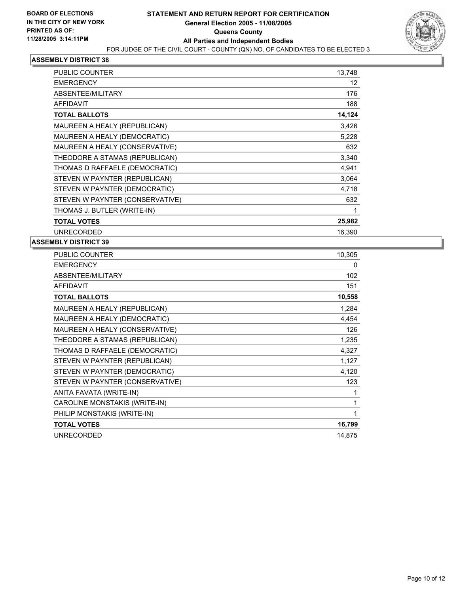

| PUBLIC COUNTER                  | 13,748 |
|---------------------------------|--------|
| <b>EMERGENCY</b>                | 12     |
| ABSENTEE/MILITARY               | 176    |
| <b>AFFIDAVIT</b>                | 188    |
| <b>TOTAL BALLOTS</b>            | 14,124 |
| MAUREEN A HEALY (REPUBLICAN)    | 3,426  |
| MAUREEN A HEALY (DEMOCRATIC)    | 5,228  |
| MAUREEN A HEALY (CONSERVATIVE)  | 632    |
| THEODORE A STAMAS (REPUBLICAN)  | 3,340  |
| THOMAS D RAFFAELE (DEMOCRATIC)  | 4,941  |
| STEVEN W PAYNTER (REPUBLICAN)   | 3,064  |
| STEVEN W PAYNTER (DEMOCRATIC)   | 4,718  |
| STEVEN W PAYNTER (CONSERVATIVE) | 632    |
| THOMAS J. BUTLER (WRITE-IN)     |        |
| <b>TOTAL VOTES</b>              | 25,982 |
| <b>UNRECORDED</b>               | 16,390 |

| PUBLIC COUNTER                  | 10,305 |
|---------------------------------|--------|
| <b>EMERGENCY</b>                | 0      |
| ABSENTEE/MILITARY               | 102    |
| <b>AFFIDAVIT</b>                | 151    |
| <b>TOTAL BALLOTS</b>            | 10,558 |
| MAUREEN A HEALY (REPUBLICAN)    | 1,284  |
| MAUREEN A HEALY (DEMOCRATIC)    | 4,454  |
| MAUREEN A HEALY (CONSERVATIVE)  | 126    |
| THEODORE A STAMAS (REPUBLICAN)  | 1,235  |
| THOMAS D RAFFAELE (DEMOCRATIC)  | 4,327  |
| STEVEN W PAYNTER (REPUBLICAN)   | 1,127  |
| STEVEN W PAYNTER (DEMOCRATIC)   | 4,120  |
| STEVEN W PAYNTER (CONSERVATIVE) | 123    |
| ANITA FAVATA (WRITE-IN)         |        |
| CAROLINE MONSTAKIS (WRITE-IN)   |        |
| PHILIP MONSTAKIS (WRITE-IN)     |        |
| <b>TOTAL VOTES</b>              | 16,799 |
| <b>UNRECORDED</b>               | 14,875 |
|                                 |        |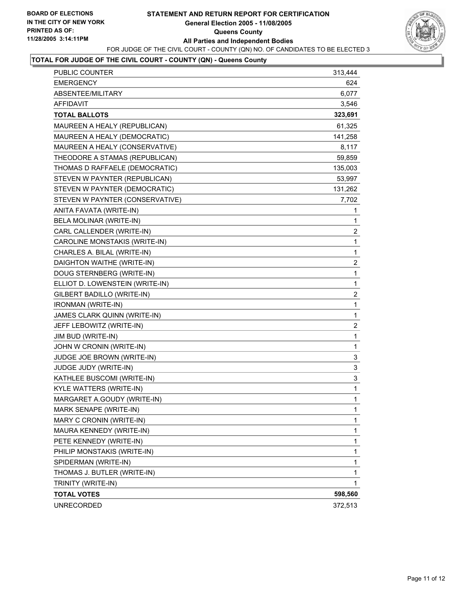#### **STATEMENT AND RETURN REPORT FOR CERTIFICATION General Election 2005 - 11/08/2005 Queens County All Parties and Independent Bodies** FOR JUDGE OF THE CIVIL COURT - COUNTY (QN) NO. OF CANDIDATES TO BE ELECTED 3



# **TOTAL FOR JUDGE OF THE CIVIL COURT - COUNTY (QN) - Queens County**

| PUBLIC COUNTER                  | 313,444                 |
|---------------------------------|-------------------------|
| <b>EMERGENCY</b>                | 624                     |
| ABSENTEE/MILITARY               | 6,077                   |
| <b>AFFIDAVIT</b>                | 3,546                   |
| <b>TOTAL BALLOTS</b>            | 323,691                 |
| MAUREEN A HEALY (REPUBLICAN)    | 61,325                  |
| MAUREEN A HEALY (DEMOCRATIC)    | 141,258                 |
| MAUREEN A HEALY (CONSERVATIVE)  | 8,117                   |
| THEODORE A STAMAS (REPUBLICAN)  | 59,859                  |
| THOMAS D RAFFAELE (DEMOCRATIC)  | 135,003                 |
| STEVEN W PAYNTER (REPUBLICAN)   | 53,997                  |
| STEVEN W PAYNTER (DEMOCRATIC)   | 131,262                 |
| STEVEN W PAYNTER (CONSERVATIVE) | 7,702                   |
| ANITA FAVATA (WRITE-IN)         | 1                       |
| BELA MOLINAR (WRITE-IN)         | 1                       |
| CARL CALLENDER (WRITE-IN)       | $\overline{\mathbf{c}}$ |
| CAROLINE MONSTAKIS (WRITE-IN)   | $\mathbf{1}$            |
| CHARLES A. BILAL (WRITE-IN)     | $\mathbf 1$             |
| DAIGHTON WAITHE (WRITE-IN)      | $\overline{\mathbf{c}}$ |
| DOUG STERNBERG (WRITE-IN)       | $\mathbf{1}$            |
| ELLIOT D. LOWENSTEIN (WRITE-IN) | 1                       |
| GILBERT BADILLO (WRITE-IN)      | $\overline{\mathbf{c}}$ |
| IRONMAN (WRITE-IN)              | $\mathbf{1}$            |
| JAMES CLARK QUINN (WRITE-IN)    | $\mathbf 1$             |
| JEFF LEBOWITZ (WRITE-IN)        | $\overline{\mathbf{c}}$ |
| JIM BUD (WRITE-IN)              | $\mathbf{1}$            |
| JOHN W CRONIN (WRITE-IN)        | 1                       |
| JUDGE JOE BROWN (WRITE-IN)      | 3                       |
| JUDGE JUDY (WRITE-IN)           | 3                       |
| KATHLEE BUSCOMI (WRITE-IN)      | 3                       |
| KYLE WATTERS (WRITE-IN)         | 1                       |
| MARGARET A.GOUDY (WRITE-IN)     | 1                       |
| MARK SENAPE (WRITE-IN)          | 1                       |
| MARY C CRONIN (WRITE-IN)        | 1                       |
| MAURA KENNEDY (WRITE-IN)        | 1                       |
| PETE KENNEDY (WRITE-IN)         | 1                       |
| PHILIP MONSTAKIS (WRITE-IN)     | 1                       |
| SPIDERMAN (WRITE-IN)            | 1                       |
| THOMAS J. BUTLER (WRITE-IN)     | 1                       |
| TRINITY (WRITE-IN)              | 1                       |
| <b>TOTAL VOTES</b>              | 598,560                 |
| <b>UNRECORDED</b>               | 372,513                 |